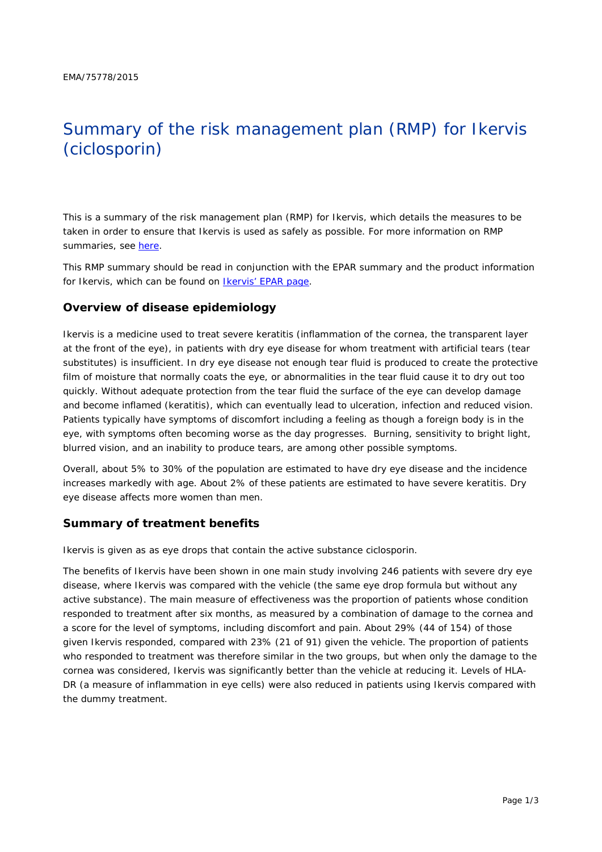# Summary of the risk management plan (RMP) for Ikervis (ciclosporin)

This is a summary of the risk management plan (RMP) for Ikervis, which details the measures to be taken in order to ensure that Ikervis is used as safely as possible. For more information on RMP summaries, see [here.](http://www.ema.europa.eu/docs/en_GB/document_library/Other/2014/05/WC500166101.pdf)

This RMP summary should be read in conjunction with the EPAR summary and the product information for Ikervis, which can be found on [Ikervis' EPAR page.](http://www.ema.europa.eu/ema/index.jsp?curl=/pages/medicines/human/medicines/002066/human_med_001851.jsp)

#### **Overview of disease epidemiology**

Ikervis is a medicine used to treat severe keratitis (inflammation of the cornea, the transparent layer at the front of the eye), in patients with dry eye disease for whom treatment with artificial tears (tear substitutes) is insufficient. In dry eye disease not enough tear fluid is produced to create the protective film of moisture that normally coats the eye, or abnormalities in the tear fluid cause it to dry out too quickly. Without adequate protection from the tear fluid the surface of the eye can develop damage and become inflamed (keratitis), which can eventually lead to ulceration, infection and reduced vision. Patients typically have symptoms of discomfort including a feeling as though a foreign body is in the eye, with symptoms often becoming worse as the day progresses. Burning, sensitivity to bright light, blurred vision, and an inability to produce tears, are among other possible symptoms.

Overall, about 5% to 30% of the population are estimated to have dry eye disease and the incidence increases markedly with age. About 2% of these patients are estimated to have severe keratitis. Dry eye disease affects more women than men.

#### **Summary of treatment benefits**

Ikervis is given as as eye drops that contain the active substance ciclosporin.

The benefits of Ikervis have been shown in one main study involving 246 patients with severe dry eye disease, where Ikervis was compared with the vehicle (the same eye drop formula but without any active substance). The main measure of effectiveness was the proportion of patients whose condition responded to treatment after six months, as measured by a combination of damage to the cornea and a score for the level of symptoms, including discomfort and pain. About 29% (44 of 154) of those given Ikervis responded, compared with 23% (21 of 91) given the vehicle. The proportion of patients who responded to treatment was therefore similar in the two groups, but when only the damage to the cornea was considered. Ikervis was significantly better than the vehicle at reducing it. Levels of HLA-DR (a measure of inflammation in eye cells) were also reduced in patients using Ikervis compared with the dummy treatment.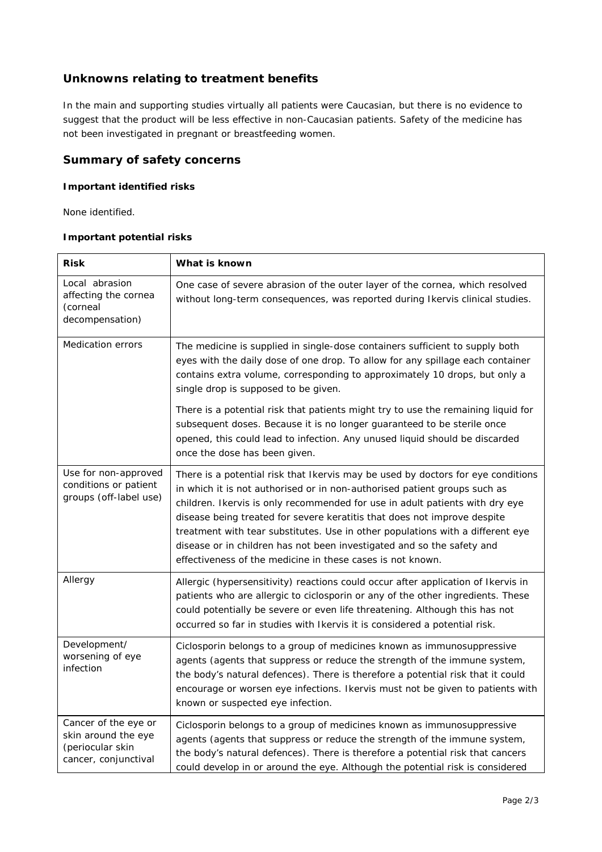## **Unknowns relating to treatment benefits**

In the main and supporting studies virtually all patients were Caucasian, but there is no evidence to suggest that the product will be less effective in non-Caucasian patients. Safety of the medicine has not been investigated in pregnant or breastfeeding women.

### **Summary of safety concerns**

#### *Important identified risks*

None identified.

#### *Important potential risks*

| <b>Risk</b>                                                                             | What is known                                                                                                                                                                                                                                                                                                                                                                                                                                                                                                                                       |
|-----------------------------------------------------------------------------------------|-----------------------------------------------------------------------------------------------------------------------------------------------------------------------------------------------------------------------------------------------------------------------------------------------------------------------------------------------------------------------------------------------------------------------------------------------------------------------------------------------------------------------------------------------------|
| Local abrasion<br>affecting the cornea<br>(corneal<br>decompensation)                   | One case of severe abrasion of the outer layer of the cornea, which resolved<br>without long-term consequences, was reported during Ikervis clinical studies.                                                                                                                                                                                                                                                                                                                                                                                       |
| <b>Medication errors</b>                                                                | The medicine is supplied in single-dose containers sufficient to supply both<br>eyes with the daily dose of one drop. To allow for any spillage each container<br>contains extra volume, corresponding to approximately 10 drops, but only a<br>single drop is supposed to be given.                                                                                                                                                                                                                                                                |
|                                                                                         | There is a potential risk that patients might try to use the remaining liquid for<br>subsequent doses. Because it is no longer guaranteed to be sterile once<br>opened, this could lead to infection. Any unused liquid should be discarded<br>once the dose has been given.                                                                                                                                                                                                                                                                        |
| Use for non-approved<br>conditions or patient<br>groups (off-label use)                 | There is a potential risk that Ikervis may be used by doctors for eye conditions<br>in which it is not authorised or in non-authorised patient groups such as<br>children. Ikervis is only recommended for use in adult patients with dry eye<br>disease being treated for severe keratitis that does not improve despite<br>treatment with tear substitutes. Use in other populations with a different eye<br>disease or in children has not been investigated and so the safety and<br>effectiveness of the medicine in these cases is not known. |
| Allergy                                                                                 | Allergic (hypersensitivity) reactions could occur after application of Ikervis in<br>patients who are allergic to ciclosporin or any of the other ingredients. These<br>could potentially be severe or even life threatening. Although this has not<br>occurred so far in studies with Ikervis it is considered a potential risk.                                                                                                                                                                                                                   |
| Development/<br>worsening of eye<br>infection                                           | Ciclosporin belongs to a group of medicines known as immunosuppressive<br>agents (agents that suppress or reduce the strength of the immune system,<br>the body's natural defences). There is therefore a potential risk that it could<br>encourage or worsen eye infections. Ikervis must not be given to patients with<br>known or suspected eye infection.                                                                                                                                                                                       |
| Cancer of the eye or<br>skin around the eye<br>(periocular skin<br>cancer, conjunctival | Ciclosporin belongs to a group of medicines known as immunosuppressive<br>agents (agents that suppress or reduce the strength of the immune system,<br>the body's natural defences). There is therefore a potential risk that cancers<br>could develop in or around the eye. Although the potential risk is considered                                                                                                                                                                                                                              |